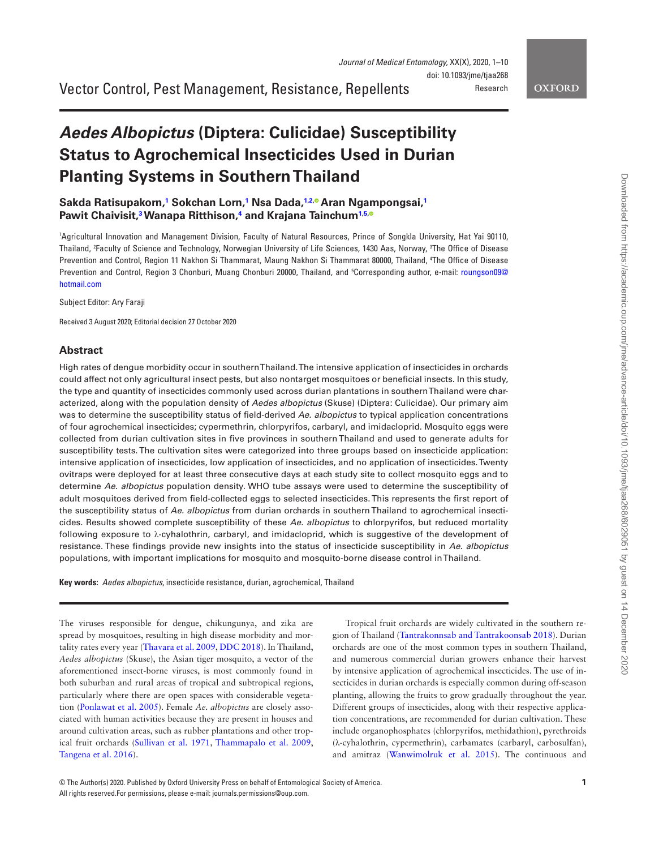Vector Control, Pest Management, Resistance, Repellents

**OXFORD** 

# *Aedes Albopictus* **(Diptera: Culicidae) Susceptibility Status to Agrochemical Insecticides Used in Durian Planting Systems in Southern Thailand**

**Sakda Ratisupakorn, [1](#page-0-0) Sokchan Lorn, [1](#page-0-0) Nsa Dada, [1](#page-0-0)[,2](#page-0-1)[, A](http://orcid.org/0000-0002-5276-2328)ran Ngampongsai, [1](#page-0-0) Pawit Chaivisit, [3](#page-0-2) Wanapa Ritthison, [4](#page-0-3) and Krajana Tainchum[1](#page-0-0)[,5](#page-0-4)[,](http://orcid.org/0000-0002-2281-2144)**

<span id="page-0-4"></span><span id="page-0-3"></span><span id="page-0-2"></span><span id="page-0-1"></span><span id="page-0-0"></span>1 Agricultural Innovation and Management Division, Faculty of Natural Resources, Prince of Songkla University, Hat Yai 90110, Thailand, <sup>z</sup>Faculty of Science and Technology, Norwegian University of Life Sciences, 1430 Aas, Norway, <sup>3</sup>The Office of Disease Prevention and Control, Region 11 Nakhon Si Thammarat, Maung Nakhon Si Thammarat 80000, Thailand, 4 The Office of Disease Prevention and Control, Region 3 Chonburi, Muang Chonburi 20000, Thailand, and <sup>5</sup>Corresponding author, e-mail: [roungson09@](mailto:roungson09@hotmail.com?subject=) [hotmail.com](mailto:roungson09@hotmail.com?subject=)

Subject Editor: Ary Faraji

Received 3 August 2020; Editorial decision 27 October 2020

#### **Abstract**

High rates of dengue morbidity occur in southern Thailand. The intensive application of insecticides in orchards could affect not only agricultural insect pests, but also nontarget mosquitoes or beneficial insects. In this study, the type and quantity of insecticides commonly used across durian plantations in southern Thailand were characterized, along with the population density of *Aedes albopictus* (Skuse) (Diptera: Culicidae). Our primary aim was to determine the susceptibility status of field-derived *Ae. albopictus* to typical application concentrations of four agrochemical insecticides; cypermethrin, chlorpyrifos, carbaryl, and imidacloprid. Mosquito eggs were collected from durian cultivation sites in five provinces in southern Thailand and used to generate adults for susceptibility tests. The cultivation sites were categorized into three groups based on insecticide application: intensive application of insecticides, low application of insecticides, and no application of insecticides. Twenty ovitraps were deployed for at least three consecutive days at each study site to collect mosquito eggs and to determine *Ae. albopictus* population density. WHO tube assays were used to determine the susceptibility of adult mosquitoes derived from field-collected eggs to selected insecticides. This represents the first report of the susceptibility status of *Ae. albopictus* from durian orchards in southern Thailand to agrochemical insecticides. Results showed complete susceptibility of these *Ae. albopictus* to chlorpyrifos, but reduced mortality following exposure to λ-cyhalothrin, carbaryl, and imidacloprid, which is suggestive of the development of resistance. These findings provide new insights into the status of insecticide susceptibility in *Ae. albopictus* populations, with important implications for mosquito and mosquito-borne disease control in Thailand.

**Key words:** *Aedes albopictus*, insecticide resistance, durian, agrochemical, Thailand

The viruses responsible for dengue, chikungunya, and zika are spread by mosquitoes, resulting in high disease morbidity and mortality rates every year ([Thavara et al. 2009,](#page-8-0) [DDC 2018](#page-8-1)). In Thailand, *Aedes albopictus* (Skuse), the Asian tiger mosquito, a vector of the aforementioned insect-borne viruses, is most commonly found in both suburban and rural areas of tropical and subtropical regions, particularly where there are open spaces with considerable vegetation ([Ponlawat et al. 2005](#page-8-2)). Female *Ae. albopictus* are closely associated with human activities because they are present in houses and around cultivation areas, such as rubber plantations and other tropical fruit orchards [\(Sullivan et al. 1971,](#page-8-3) [Thammapalo et al. 2009,](#page-8-4) [Tangena et al. 2016\)](#page-8-5).

Tropical fruit orchards are widely cultivated in the southern region of Thailand ([Tantrakonnsab and Tantrakoonsab 2018\)](#page-8-6). Durian orchards are one of the most common types in southern Thailand, and numerous commercial durian growers enhance their harvest by intensive application of agrochemical insecticides. The use of insecticides in durian orchards is especially common during off-season planting, allowing the fruits to grow gradually throughout the year. Different groups of insecticides, along with their respective application concentrations, are recommended for durian cultivation. These include organophosphates (chlorpyrifos, methidathion), pyrethroids (λ-cyhalothrin, cypermethrin), carbamates (carbaryl, carbosulfan), and amitraz ([Wanwimolruk et al. 2015](#page-9-0)). The continuous and

<sup>©</sup> The Author(s) 2020. Published by Oxford University Press on behalf of Entomological Society of America. **1** All rights reserved.For permissions, please e-mail: journals.permissions@oup.com.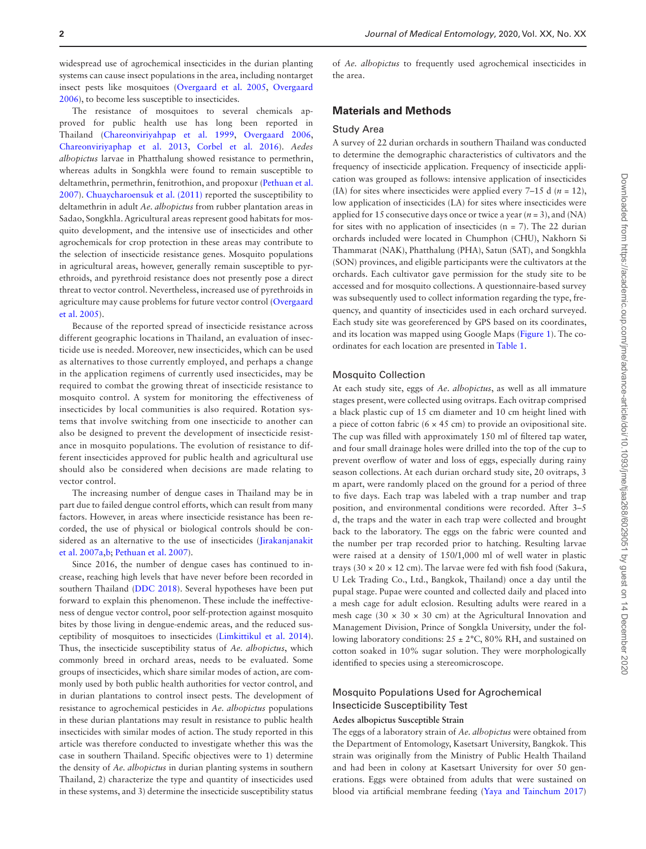widespread use of agrochemical insecticides in the durian planting systems can cause insect populations in the area, including nontarget insect pests like mosquitoes [\(Overgaard et al. 2005](#page-8-7), [Overgaard](#page-8-8)  [2006](#page-8-8)), to become less susceptible to insecticides.

The resistance of mosquitoes to several chemicals approved for public health use has long been reported in Thailand ([Chareonviriyahpap et al. 1999,](#page-8-9) [Overgaard 2006,](#page-8-8) [Chareonviriyaphap et al. 2013](#page-8-10), [Corbel et al. 2016](#page-8-11)). *Aedes albopictus* larvae in Phatthalung showed resistance to permethrin, whereas adults in Songkhla were found to remain susceptible to deltamethrin, permethrin, fenitrothion, and propoxur [\(Pethuan et al.](#page-8-12)  [2007](#page-8-12)). [Chuaycharoensuk et al. \(2011\)](#page-8-13) reported the susceptibility to deltamethrin in adult *Ae. albopictus* from rubber plantation areas in Sadao, Songkhla. Agricultural areas represent good habitats for mosquito development, and the intensive use of insecticides and other agrochemicals for crop protection in these areas may contribute to the selection of insecticide resistance genes. Mosquito populations in agricultural areas, however, generally remain susceptible to pyrethroids, and pyrethroid resistance does not presently pose a direct threat to vector control. Nevertheless, increased use of pyrethroids in agriculture may cause problems for future vector control ([Overgaard](#page-8-7)  [et al. 2005](#page-8-7)).

Because of the reported spread of insecticide resistance across different geographic locations in Thailand, an evaluation of insecticide use is needed. Moreover, new insecticides, which can be used as alternatives to those currently employed, and perhaps a change in the application regimens of currently used insecticides, may be required to combat the growing threat of insecticide resistance to mosquito control. A system for monitoring the effectiveness of insecticides by local communities is also required. Rotation systems that involve switching from one insecticide to another can also be designed to prevent the development of insecticide resistance in mosquito populations. The evolution of resistance to different insecticides approved for public health and agricultural use should also be considered when decisions are made relating to vector control.

The increasing number of dengue cases in Thailand may be in part due to failed dengue control efforts, which can result from many factors. However, in areas where insecticide resistance has been recorded, the use of physical or biological controls should be considered as an alternative to the use of insecticides [\(Jirakanjanakit](#page-8-14)  [et al. 2007a](#page-8-14)[,b;](#page-8-15) [Pethuan et al. 2007](#page-8-12)).

Since 2016, the number of dengue cases has continued to increase, reaching high levels that have never before been recorded in southern Thailand [\(DDC 2018](#page-8-1)). Several hypotheses have been put forward to explain this phenomenon. These include the ineffectiveness of dengue vector control, poor self-protection against mosquito bites by those living in dengue-endemic areas, and the reduced susceptibility of mosquitoes to insecticides ([Limkittikul et al. 2014](#page-8-16)). Thus, the insecticide susceptibility status of *Ae. albopictus*, which commonly breed in orchard areas, needs to be evaluated. Some groups of insecticides, which share similar modes of action, are commonly used by both public health authorities for vector control, and in durian plantations to control insect pests. The development of resistance to agrochemical pesticides in *Ae. albopictus* populations in these durian plantations may result in resistance to public health insecticides with similar modes of action. The study reported in this article was therefore conducted to investigate whether this was the case in southern Thailand. Specific objectives were to 1) determine the density of *Ae. albopictus* in durian planting systems in southern Thailand, 2) characterize the type and quantity of insecticides used in these systems, and 3) determine the insecticide susceptibility status

of *Ae. albopictus* to frequently used agrochemical insecticides in the area.

#### **Materials and Methods**

#### Study Area

A survey of 22 durian orchards in southern Thailand was conducted to determine the demographic characteristics of cultivators and the frequency of insecticide application. Frequency of insecticide application was grouped as follows: intensive application of insecticides (IA) for sites where insecticides were applied every  $7-15$  d ( $n = 12$ ), low application of insecticides (LA) for sites where insecticides were applied for 15 consecutive days once or twice a year  $(n = 3)$ , and  $(NA)$ for sites with no application of insecticides  $(n = 7)$ . The 22 durian orchards included were located in Chumphon (CHU), Nakhorn Si Thammarat (NAK), Phatthalung (PHA), Satun (SAT), and Songkhla (SON) provinces, and eligible participants were the cultivators at the orchards. Each cultivator gave permission for the study site to be accessed and for mosquito collections. A questionnaire-based survey was subsequently used to collect information regarding the type, frequency, and quantity of insecticides used in each orchard surveyed. Each study site was georeferenced by GPS based on its coordinates, and its location was mapped using Google Maps [\(Figure 1\)](#page-2-0). The coordinates for each location are presented in [Table 1](#page-3-0).

#### Mosquito Collection

At each study site, eggs of *Ae. albopictus*, as well as all immature stages present, were collected using ovitraps. Each ovitrap comprised a black plastic cup of 15 cm diameter and 10 cm height lined with a piece of cotton fabric ( $6 \times 45$  cm) to provide an ovipositional site. The cup was filled with approximately 150 ml of filtered tap water, and four small drainage holes were drilled into the top of the cup to prevent overflow of water and loss of eggs, especially during rainy season collections. At each durian orchard study site, 20 ovitraps, 3 m apart, were randomly placed on the ground for a period of three to five days. Each trap was labeled with a trap number and trap position, and environmental conditions were recorded. After 3–5 d, the traps and the water in each trap were collected and brought back to the laboratory. The eggs on the fabric were counted and the number per trap recorded prior to hatching. Resulting larvae were raised at a density of 150/1,000 ml of well water in plastic trays (30  $\times$  20  $\times$  12 cm). The larvae were fed with fish food (Sakura, U Lek Trading Co., Ltd., Bangkok, Thailand) once a day until the pupal stage. Pupae were counted and collected daily and placed into a mesh cage for adult eclosion. Resulting adults were reared in a mesh cage (30  $\times$  30  $\times$  30 cm) at the Agricultural Innovation and Management Division, Prince of Songkla University, under the following laboratory conditions:  $25 \pm 2^{\circ}$ C, 80% RH, and sustained on cotton soaked in 10% sugar solution. They were morphologically identified to species using a stereomicroscope.

# Mosquito Populations Used for Agrochemical Insecticide Susceptibility Test

## **Aedes albopictus Susceptible Strain**

The eggs of a laboratory strain of *Ae. albopictus* were obtained from the Department of Entomology, Kasetsart University, Bangkok. This strain was originally from the Ministry of Public Health Thailand and had been in colony at Kasetsart University for over 50 generations. Eggs were obtained from adults that were sustained on blood via artificial membrane feeding [\(Yaya and Tainchum 2017\)](#page-9-1)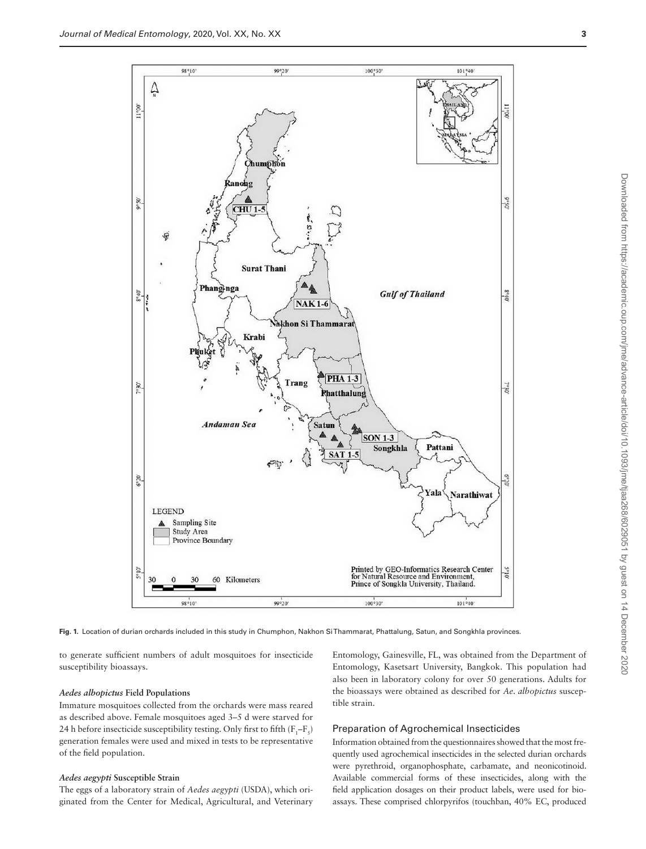

<span id="page-2-0"></span>**Fig. 1.** Location of durian orchards included in this study in Chumphon, Nakhon Si Thammarat, Phattalung, Satun, and Songkhla provinces.

to generate sufficient numbers of adult mosquitoes for insecticide susceptibility bioassays.

#### *Aedes albopictus* **Field Populations**

Immature mosquitoes collected from the orchards were mass reared as described above. Female mosquitoes aged 3–5 d were starved for 24 h before insecticide susceptibility testing. Only first to fifth  $(F_1-F_5)$ generation females were used and mixed in tests to be representative of the field population.

#### *Aedes aegypti* **Susceptible Strain**

The eggs of a laboratory strain of *Aedes aegypti* (USDA), which originated from the Center for Medical, Agricultural, and Veterinary

Entomology, Gainesville, FL, was obtained from the Department of Entomology, Kasetsart University, Bangkok. This population had also been in laboratory colony for over 50 generations. Adults for the bioassays were obtained as described for *Ae. albopictus* susceptible strain.

#### Preparation of Agrochemical Insecticides

Information obtained from the questionnaires showed that the most frequently used agrochemical insecticides in the selected durian orchards were pyrethroid, organophosphate, carbamate, and neonicotinoid. Available commercial forms of these insecticides, along with the field application dosages on their product labels, were used for bioassays. These comprised chlorpyrifos (touchban, 40% EC, produced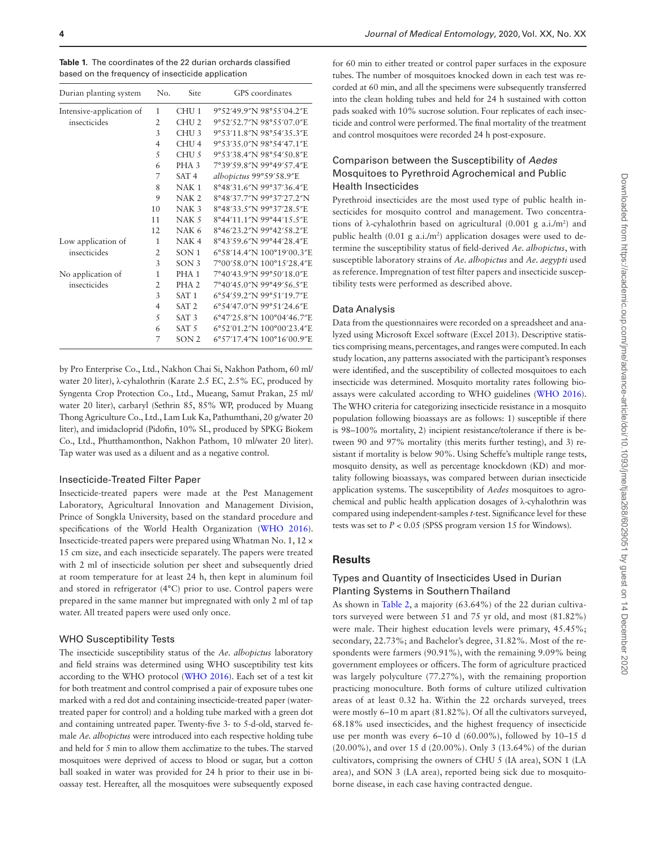<span id="page-3-0"></span>

| <b>Table 1.</b> The coordinates of the 22 durian orchards classified |
|----------------------------------------------------------------------|
| based on the frequency of insecticide application                    |

| Durian planting system   | No.            | Site             | GPS coordinates           |
|--------------------------|----------------|------------------|---------------------------|
| Intensive-application of | 1              | CHU <sub>1</sub> | 9°52′49.9″N 98°55′04.2″E  |
| insecticides             | 2              | CHU <sub>2</sub> | 9°52'52.7"N 98°55'07.0"E  |
|                          | 3              | CHU <sub>3</sub> | 9°53'11.8"N 98°54'35.3"E  |
|                          | 4              | CHU <sub>4</sub> | 9°53'35.0"N 98°54'47.1"E  |
|                          | 5              | CHU <sub>5</sub> | 9°53'38.4"N 98°54'50.8"E  |
|                          | 6              | PHA <sub>3</sub> | 7°39'59.8"N 99°49'57.4"E  |
|                          | 7              | SAT <sub>4</sub> | albopictus 99°59'58.9"E   |
|                          | 8              | NAK <sub>1</sub> | 8°48'31.6"N 99°37'36.4"E  |
|                          | 9              | NAK <sub>2</sub> | 8°48'37.7"N 99°37'27.2"N  |
|                          | 10             | NAK <sub>3</sub> | 8°48'33.5"N 99°37'28.5"E  |
|                          | 11             | NAK <sub>5</sub> | 8°44'11.1"N 99°44'15.5"E  |
|                          | 12             | NAK <sub>6</sub> | 8°46'23.2"N 99°42'58.2"E  |
| Low application of       | 1              | NAK <sub>4</sub> | 8°43'59.6"N 99°44'28.4"E  |
| insecticides             | $\overline{2}$ | SON <sub>1</sub> | 6°58'14.4"N 100°19'00.3"E |
|                          | 3              | SON <sub>3</sub> | 7°00′58.0″N 100°15′28.4″E |
| No application of        | 1              | PHA <sub>1</sub> | 7°40'43.9"N 99°50'18.0"E  |
| insecticides             | $\overline{2}$ | PHA <sub>2</sub> | 7°40'45.0"N 99°49'56.5"E  |
|                          | 3              | SAT <sub>1</sub> | 6°54'59.2"N 99°51'19.7"E  |
|                          | $\overline{4}$ | SAT <sub>2</sub> | 6°54'47.0"N 99°51'24.6"E  |
|                          | 5              | SAT <sub>3</sub> | 6°47'25.8"N 100°04'46.7"E |
|                          | 6              | SAT <sub>5</sub> | 6°52′01.2″N 100°00′23.4″E |
|                          | 7              | SON <sub>2</sub> | 6°57'17.4"N 100°16'00.9"E |

by Pro Enterprise Co., Ltd., Nakhon Chai Si, Nakhon Pathom, 60 ml/ water 20 liter), λ-cyhalothrin (Karate 2.5 EC, 2.5% EC, produced by Syngenta Crop Protection Co., Ltd., Mueang, Samut Prakan, 25 ml/ water 20 liter), carbaryl (Sethrin 85, 85% WP, produced by Muang Thong Agriculture Co., Ltd., Lam Luk Ka, Pathumthani, 20 g/water 20 liter), and imidacloprid (Pidofin, 10% SL, produced by SPKG Biokem Co., Ltd., Phutthamonthon, Nakhon Pathom, 10 ml/water 20 liter). Tap water was used as a diluent and as a negative control.

#### Insecticide-Treated Filter Paper

Insecticide-treated papers were made at the Pest Management Laboratory, Agricultural Innovation and Management Division, Prince of Songkla University, based on the standard procedure and specifications of the World Health Organization [\(WHO 2016](#page-9-2)). Insecticide-treated papers were prepared using Whatman No. 1, 12 × 15 cm size, and each insecticide separately. The papers were treated with 2 ml of insecticide solution per sheet and subsequently dried at room temperature for at least 24 h, then kept in aluminum foil and stored in refrigerator (4°C) prior to use. Control papers were prepared in the same manner but impregnated with only 2 ml of tap water. All treated papers were used only once.

#### WHO Susceptibility Tests

The insecticide susceptibility status of the *Ae. albopictus* laboratory and field strains was determined using WHO susceptibility test kits according to the WHO protocol [\(WHO 2016\)](#page-9-2). Each set of a test kit for both treatment and control comprised a pair of exposure tubes one marked with a red dot and containing insecticide-treated paper (watertreated paper for control) and a holding tube marked with a green dot and containing untreated paper. Twenty-five 3- to 5-d-old, starved female *Ae. albopictus* were introduced into each respective holding tube and held for 5 min to allow them acclimatize to the tubes. The starved mosquitoes were deprived of access to blood or sugar, but a cotton ball soaked in water was provided for 24 h prior to their use in bioassay test. Hereafter, all the mosquitoes were subsequently exposed

for 60 min to either treated or control paper surfaces in the exposure tubes. The number of mosquitoes knocked down in each test was recorded at 60 min, and all the specimens were subsequently transferred into the clean holding tubes and held for 24 h sustained with cotton pads soaked with 10% sucrose solution. Four replicates of each insecticide and control were performed. The final mortality of the treatment and control mosquitoes were recorded 24 h post-exposure.

## Comparison between the Susceptibility of *Aedes* Mosquitoes to Pyrethroid Agrochemical and Public Health Insecticides

Pyrethroid insecticides are the most used type of public health insecticides for mosquito control and management. Two concentrations of  $\lambda$ -cyhalothrin based on agricultural (0.001 g a.i./m<sup>2</sup>) and public health  $(0.01 \text{ g a.i./m}^2)$  application dosages were used to determine the susceptibility status of field-derived *Ae. albopictus*, with susceptible laboratory strains of *Ae. albopictus* and *Ae. aegypti* used as reference. Impregnation of test filter papers and insecticide susceptibility tests were performed as described above.

## Data Analysis

Data from the questionnaires were recorded on a spreadsheet and analyzed using Microsoft Excel software (Excel 2013). Descriptive statistics comprising means, percentages, and ranges were computed. In each study location, any patterns associated with the participant's responses were identified, and the susceptibility of collected mosquitoes to each insecticide was determined. Mosquito mortality rates following bioassays were calculated according to WHO guidelines ([WHO 2016](#page-9-2)). The WHO criteria for categorizing insecticide resistance in a mosquito population following bioassays are as follows: 1) susceptible if there is 98–100% mortality, 2) incipient resistance/tolerance if there is between 90 and 97% mortality (this merits further testing), and 3) resistant if mortality is below 90%. Using Scheffe's multiple range tests, mosquito density, as well as percentage knockdown (KD) and mortality following bioassays, was compared between durian insecticide application systems. The susceptibility of *Aedes* mosquitoes to agrochemical and public health application dosages of λ-cyhalothrin was compared using independent-samples *t*-test. Significance level for these tests was set to *P* < 0.05 (SPSS program version 15 for Windows).

## **Results**

## Types and Quantity of Insecticides Used in Durian Planting Systems in Southern Thailand

As shown in [Table 2,](#page-4-0) a majority (63.64%) of the 22 durian cultivators surveyed were between 51 and 75 yr old, and most (81.82%) were male. Their highest education levels were primary, 45.45%; secondary, 22.73%; and Bachelor's degree, 31.82%. Most of the respondents were farmers (90.91%), with the remaining 9.09% being government employees or officers. The form of agriculture practiced was largely polyculture (77.27%), with the remaining proportion practicing monoculture. Both forms of culture utilized cultivation areas of at least 0.32 ha. Within the 22 orchards surveyed, trees were mostly 6–10 m apart (81.82%). Of all the cultivators surveyed, 68.18% used insecticides, and the highest frequency of insecticide use per month was every 6–10 d (60.00%), followed by 10–15 d (20.00%), and over 15 d (20.00%). Only 3 (13.64%) of the durian cultivators, comprising the owners of CHU 5 (IA area), SON 1 (LA area), and SON 3 (LA area), reported being sick due to mosquitoborne disease, in each case having contracted dengue.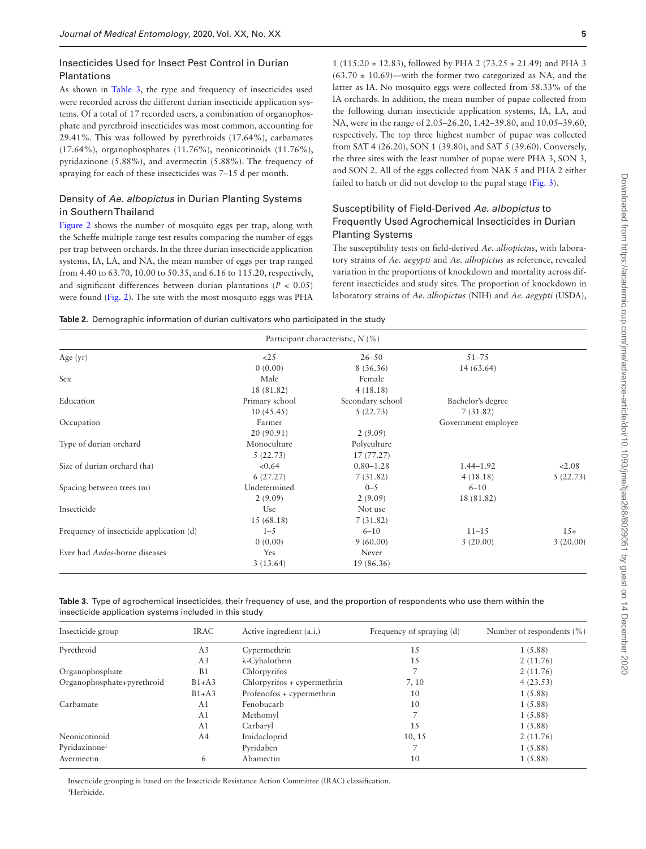## Insecticides Used for Insect Pest Control in Durian Plantations

As shown in Table 3, the type and frequency of insecticides used were recorded across the different durian insecticide application systems. Of a total of 17 recorded users, a combination of organophosphate and pyrethroid insecticides was most common, accounting for 29.41%. This was followed by pyrethroids (17.64%), carbamates (17.64%), organophosphates (11.76%), neonicotinoids (11.76%), pyridazinone (5.88%), and avermectin (5.88%). The frequency of spraying for each of these insecticides was 7–15 d per month.

## Density of *Ae*. *albopictus* in Durian Planting Systems in Southern Thailand

[Figure 2](#page-5-0) shows the number of mosquito eggs per trap, along with the Scheffe multiple range test results comparing the number of eggs per trap between orchards. In the three durian insecticide application systems, IA, LA, and NA, the mean number of eggs per trap ranged from 4.40 to 63.70, 10.00 to 50.35, and 6.16 to 115.20, respectively, and significant differences between durian plantations ( $P < 0.05$ ) were found ([Fig. 2](#page-5-0)). The site with the most mosquito eggs was PHA

1 (115.20 ± 12.83), followed by PHA 2 (73.25 ± 21.49) and PHA 3  $(63.70 \pm 10.69)$ —with the former two categorized as NA, and the latter as IA. No mosquito eggs were collected from 58.33% of the IA orchards. In addition, the mean number of pupae collected from the following durian insecticide application systems, IA, LA, and NA, were in the range of 2.05–26.20, 1.42–39.80, and 10.05–39.60, respectively. The top three highest number of pupae was collected from SAT 4 (26.20), SON 1 (39.80), and SAT 5 (39.60). Conversely, the three sites with the least number of pupae were PHA 3, SON 3, and SON 2. All of the eggs collected from NAK 5 and PHA 2 either failed to hatch or did not develop to the pupal stage ([Fig. 3](#page-6-0)).

## Susceptibility of Field-Derived *Ae. albopictus* to Frequently Used Agrochemical Insecticides in Durian Planting Systems

The susceptibility tests on field-derived *Ae. albopictus*, with laboratory strains of *Ae. aegypti* and *Ae. albopictus* as reference, revealed variation in the proportions of knockdown and mortality across different insecticides and study sites. The proportion of knockdown in laboratory strains of *Ae. albopictus* (NIH) and *Ae. aegypti* (USDA),

<span id="page-4-0"></span>

|  |  | <b>Table 2.</b> Demographic information of durian cultivators who participated in the study |  |  |  |  |  |  |  |  |  |  |
|--|--|---------------------------------------------------------------------------------------------|--|--|--|--|--|--|--|--|--|--|
|--|--|---------------------------------------------------------------------------------------------|--|--|--|--|--|--|--|--|--|--|

| Participant characteristic, $N$ (%)      |                |                  |                     |          |  |  |
|------------------------------------------|----------------|------------------|---------------------|----------|--|--|
| Age $(yr)$                               | <25            | $26 - 50$        | $51 - 75$           |          |  |  |
|                                          | 0(0.00)        | 8 (36.36)        | 14 (63.64)          |          |  |  |
| Sex                                      | Male           | Female           |                     |          |  |  |
|                                          | 18 (81.82)     | 4(18.18)         |                     |          |  |  |
| Education                                | Primary school | Secondary school | Bachelor's degree   |          |  |  |
|                                          | 10(45.45)      | 5(22.73)         | 7(31.82)            |          |  |  |
| Occupation                               | Farmer         |                  | Government employee |          |  |  |
|                                          | 20(90.91)      | 2(9.09)          |                     |          |  |  |
| Type of durian orchard                   | Monoculture    | Polyculture      |                     |          |  |  |
|                                          | 5(22.73)       | 17 (77.27)       |                     |          |  |  |
| Size of durian orchard (ha)              | < 0.64         | $0.80 - 1.28$    | $1.44 - 1.92$       | 2.08     |  |  |
|                                          | 6(27.27)       | 7(31.82)         | 4(18.18)            | 5(22.73) |  |  |
| Spacing between trees (m)                | Undetermined   | $0 - 5$          | $6 - 10$            |          |  |  |
|                                          | 2(9.09)        | 2(9.09)          | 18 (81.82)          |          |  |  |
| Insecticide                              | Use            | Not use          |                     |          |  |  |
|                                          | 15(68.18)      | 7(31.82)         |                     |          |  |  |
| Frequency of insecticide application (d) | $1 - 5$        | $6 - 10$         | $11 - 15$           | $15+$    |  |  |
|                                          | 0(0.00)        | 9(60.00)         | 3(20.00)            | 3(20.00) |  |  |
| Ever had Aedes-borne diseases            | Yes            | Never            |                     |          |  |  |
|                                          | 3(13.64)       | 19 (86.36)       |                     |          |  |  |

<span id="page-4-1"></span>

| Table 3. Type of agrochemical insecticides, their frequency of use, and the proportion of respondents who use them within the |  |  |  |
|-------------------------------------------------------------------------------------------------------------------------------|--|--|--|
| insecticide application systems included in this study                                                                        |  |  |  |

| Insecticide group          | <b>IRAC</b>    | Active ingredient (a.i.)    | Frequency of spraying (d) | Number of respondents $(\% )$ |
|----------------------------|----------------|-----------------------------|---------------------------|-------------------------------|
| Pyrethroid                 | A <sub>3</sub> | Cypermethrin                | 15                        | 1(5.88)                       |
|                            | A <sub>3</sub> | λ-Cyhalothrin               | 15                        | 2(11.76)                      |
| Organophosphate            | B <sub>1</sub> | Chlorpyrifos                |                           | 2(11.76)                      |
| Organophosphate+pyrethroid | $B1+A3$        | Chlorpyrifos + cypermethrin | 7, 10                     | 4(23.53)                      |
|                            | $B1+A3$        | Profenofos + cypermethrin   | 10                        | 1(5.88)                       |
| Carbamate                  | A <sub>1</sub> | Fenobucarb                  | 10                        | 1(5.88)                       |
|                            | A <sub>1</sub> | Methomyl                    |                           | 1(5.88)                       |
|                            | A <sub>1</sub> | Carbaryl                    | 15                        | 1(5.88)                       |
| Neonicotinoid              | A <sub>4</sub> | Imidacloprid                | 10, 15                    | 2(11.76)                      |
| Pyridazinone <sup>1</sup>  |                | Pyridaben                   |                           | 1(5.88)                       |
| Avermectin                 | 6              | Abamectin                   | 10                        | 1(5.88)                       |

Insecticide grouping is based on the Insecticide Resistance Action Committee (IRAC) classification. 1 Herbicide.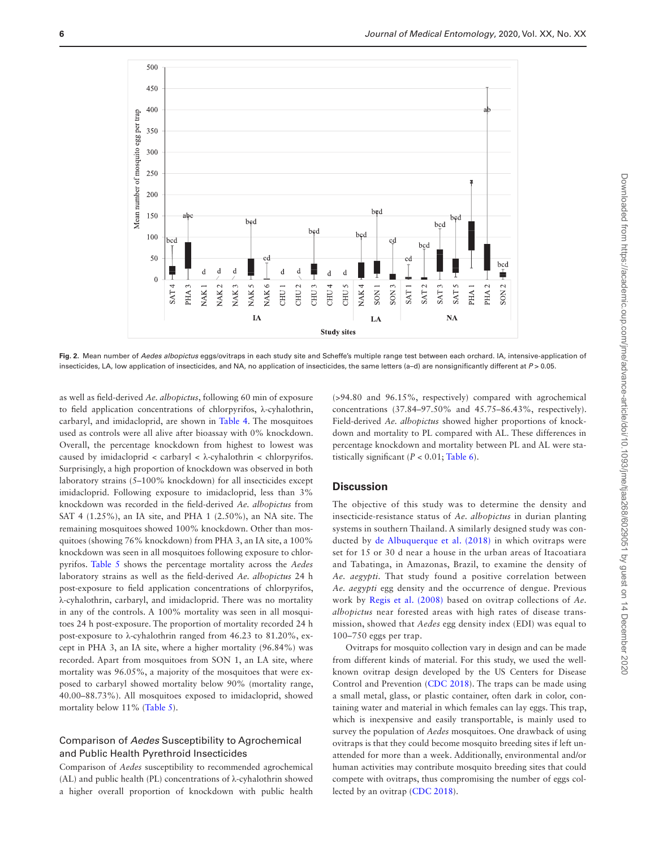

<span id="page-5-0"></span>**Fig. 2.** Mean number of *Aedes albopictus* eggs/ovitraps in each study site and Scheffe's multiple range test between each orchard. IA, intensive-application of insecticides, LA, low application of insecticides, and NA, no application of insecticides, the same letters (a-d) are nonsignificantly different at  $P > 0.05$ .

as well as field-derived *Ae. albopictus*, following 60 min of exposure to field application concentrations of chlorpyrifos, λ-cyhalothrin, carbaryl, and imidacloprid, are shown in [Table 4](#page-6-1). The mosquitoes used as controls were all alive after bioassay with 0% knockdown. Overall, the percentage knockdown from highest to lowest was caused by imidacloprid < carbaryl < λ-cyhalothrin < chlorpyrifos. Surprisingly, a high proportion of knockdown was observed in both laboratory strains (5–100% knockdown) for all insecticides except imidacloprid. Following exposure to imidacloprid, less than 3% knockdown was recorded in the field-derived *Ae. albopictus* from SAT 4 (1.25%), an IA site, and PHA 1 (2.50%), an NA site. The remaining mosquitoes showed 100% knockdown. Other than mosquitoes (showing 76% knockdown) from PHA 3, an IA site, a 100% knockdown was seen in all mosquitoes following exposure to chlorpyrifos. [Table 5](#page-7-0) shows the percentage mortality across the *Aedes* laboratory strains as well as the field-derived *Ae. albopictus* 24 h post-exposure to field application concentrations of chlorpyrifos, λ-cyhalothrin, carbaryl, and imidacloprid. There was no mortality in any of the controls. A 100% mortality was seen in all mosquitoes 24 h post-exposure. The proportion of mortality recorded 24 h post-exposure to λ-cyhalothrin ranged from 46.23 to 81.20%, except in PHA 3, an IA site, where a higher mortality (96.84%) was recorded. Apart from mosquitoes from SON 1, an LA site, where mortality was 96.05%, a majority of the mosquitoes that were exposed to carbaryl showed mortality below 90% (mortality range, 40.00–88.73%). All mosquitoes exposed to imidacloprid, showed mortality below 11% ([Table 5](#page-7-0)).

# Comparison of *Aedes* Susceptibility to Agrochemical and Public Health Pyrethroid Insecticides

Comparison of *Aedes* susceptibility to recommended agrochemical (AL) and public health (PL) concentrations of λ-cyhalothrin showed a higher overall proportion of knockdown with public health

(>94.80 and 96.15%, respectively) compared with agrochemical concentrations (37.84–97.50% and 45.75–86.43%, respectively). Field-derived *Ae. albopictus* showed higher proportions of knockdown and mortality to PL compared with AL. These differences in percentage knockdown and mortality between PL and AL were statistically significant  $(P < 0.01$ ; [Table 6\)](#page-7-1).

## **Discussion**

The objective of this study was to determine the density and insecticide-resistance status of *Ae. albopictus* in durian planting systems in southern Thailand. A similarly designed study was conducted by [de Albuquerque et al. \(2018\)](#page-8-17) in which ovitraps were set for 15 or 30 d near a house in the urban areas of Itacoatiara and Tabatinga, in Amazonas, Brazil, to examine the density of *Ae. aegypti*. That study found a positive correlation between *Ae. aegypti* egg density and the occurrence of dengue. Previous work by [Regis et al. \(2008\)](#page-8-18) based on ovitrap collections of *Ae. albopictus* near forested areas with high rates of disease transmission, showed that *Aedes* egg density index (EDI) was equal to 100–750 eggs per trap.

Ovitraps for mosquito collection vary in design and can be made from different kinds of material. For this study, we used the wellknown ovitrap design developed by the US Centers for Disease Control and Prevention [\(CDC 2018\)](#page-8-19). The traps can be made using a small metal, glass, or plastic container, often dark in color, containing water and material in which females can lay eggs. This trap, which is inexpensive and easily transportable, is mainly used to survey the population of *Aedes* mosquitoes. One drawback of using ovitraps is that they could become mosquito breeding sites if left unattended for more than a week. Additionally, environmental and/or human activities may contribute mosquito breeding sites that could compete with ovitraps, thus compromising the number of eggs collected by an ovitrap ([CDC 2018\)](#page-8-19).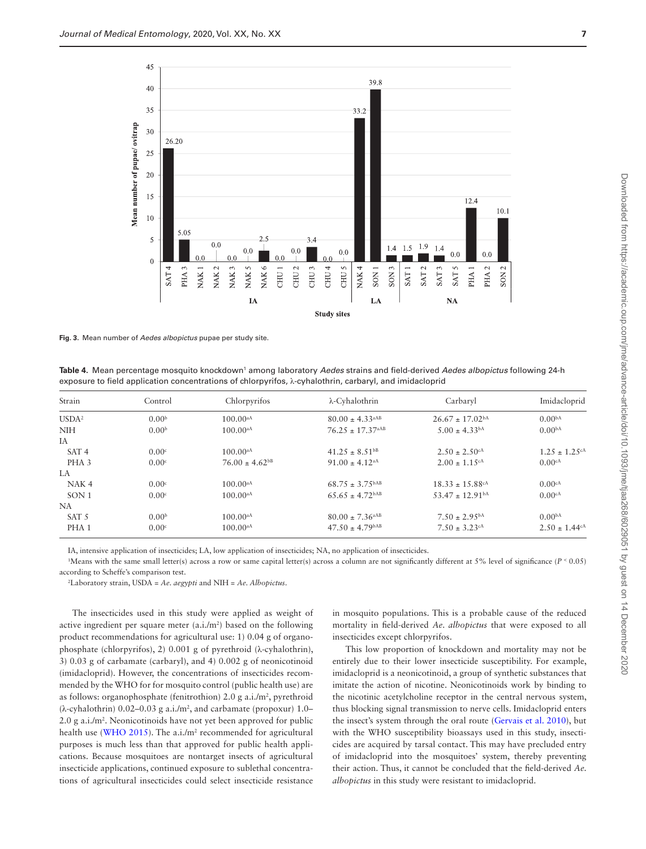

<span id="page-6-0"></span>**Fig. 3.** Mean number of *Aedes albopictus* pupae per study site.

<span id="page-6-1"></span>**Table 4.** Mean percentage mosquito knockdown<sup>1</sup> among laboratory *Aedes* strains and field-derived *Aedes albopictus* following 24-h exposure to field application concentrations of chlorpyrifos, λ-cyhalothrin, carbaryl, and imidacloprid

| Strain            | Control           | Chlorpyrifos                   | λ-Cyhalothrin                    | Carbaryl                        | Imidacloprid                   |
|-------------------|-------------------|--------------------------------|----------------------------------|---------------------------------|--------------------------------|
| USDA <sup>2</sup> | 0.00 <sup>b</sup> | $100.00^{aA}$                  | $80.00 \pm 4.33$ <sup>aAB</sup>  | $26.67 \pm 17.02$ <sup>bA</sup> | 0.00 <sup>bA</sup>             |
| <b>NIH</b>        | 0.00 <sup>b</sup> | $100.00^{aA}$                  | $76.25 \pm 17.37$ <sup>aAB</sup> | $5.00 \pm 4.33$ <sup>bA</sup>   | 0.00 <sup>bA</sup>             |
| IA                |                   |                                |                                  |                                 |                                |
| SAT <sub>4</sub>  | 0.00 <sup>c</sup> | $100.00^{aA}$                  | $41.25 \pm 8.51^{b}$             | $2.50 \pm 2.50$ <sup>cA</sup>   | $1.25 \pm 1.25$ <sup>c/</sup>  |
| PHA <sub>3</sub>  | 0.00 <sup>c</sup> | $76.00 \pm 4.62$ <sup>bB</sup> | $91.00 \pm 4.12$ <sup>aA</sup>   | $2.00 \pm 1.15$ <sup>cA</sup>   | 0.00cA                         |
| LA.               |                   |                                |                                  |                                 |                                |
| NAK <sub>4</sub>  | 0.00 <sup>c</sup> | $100.00^{aA}$                  | $68.75 \pm 3.75^{\text{bAB}}$    | $18.33 \pm 15.88$ cA            | 0.00 <sup>cA</sup>             |
| SON1              | 0.00 <sup>c</sup> | $100.00^{aA}$                  | $65.65 \pm 4.72$ <sup>bAB</sup>  | $53.47 \pm 12.91$ <sup>bA</sup> | 0.00cA                         |
| NA.               |                   |                                |                                  |                                 |                                |
| SAT <sub>5</sub>  | 0.00 <sup>b</sup> | $100.00^{aA}$                  | $80.00 \pm 7.36$ <sup>aAB</sup>  | $7.50 \pm 2.95^{bA}$            | 0.00 <sup>bA</sup>             |
| PHA <sub>1</sub>  | 0.00 <sup>c</sup> | $100.00^{aA}$                  | $47.50 \pm 4.79$ <sup>bAB</sup>  | $7.50 \pm 3.23$ cA              | $2.50 \pm 1.44$ c <sup>A</sup> |

IA, intensive application of insecticides; LA, low application of insecticides; NA, no application of insecticides.

<sup>1</sup>Means with the same small letter(s) across a row or same capital letter(s) across a column are not significantly different at 5% level of significance (*P* < 0.05) according to Scheffe's comparison test.

2 Laboratory strain, USDA = *Ae. aegypti* and NIH = *Ae. Albopictus*.

The insecticides used in this study were applied as weight of active ingredient per square meter  $(a.i./m^2)$  based on the following product recommendations for agricultural use: 1) 0.04 g of organophosphate (chlorpyrifos), 2) 0.001 g of pyrethroid (λ-cyhalothrin), 3) 0.03 g of carbamate (carbaryl), and 4) 0.002 g of neonicotinoid (imidacloprid). However, the concentrations of insecticides recommended by the WHO for for mosquito control (public health use) are as follows: organophosphate (fenitrothion)  $2.0$  g a.i./m<sup>2</sup>, pyrethroid  $(\lambda$ -cyhalothrin) 0.02–0.03 g a.i./m<sup>2</sup>, and carbamate (propoxur) 1.0– 2.0 g a.i./m2 . Neonicotinoids have not yet been approved for public health use ([WHO 2015\)](#page-9-3). The  $a.i./m^2$  recommended for agricultural purposes is much less than that approved for public health applications. Because mosquitoes are nontarget insects of agricultural insecticide applications, continued exposure to sublethal concentrations of agricultural insecticides could select insecticide resistance

in mosquito populations. This is a probable cause of the reduced mortality in field-derived *Ae. albopictus* that were exposed to all insecticides except chlorpyrifos.

This low proportion of knockdown and mortality may not be entirely due to their lower insecticide susceptibility. For example, imidacloprid is a neonicotinoid, a group of synthetic substances that imitate the action of nicotine. Neonicotinoids work by binding to the nicotinic acetylcholine receptor in the central nervous system, thus blocking signal transmission to nerve cells. Imidacloprid enters the insect's system through the oral route ([Gervais et al. 2010\)](#page-8-20), but with the WHO susceptibility bioassays used in this study, insecticides are acquired by tarsal contact. This may have precluded entry of imidacloprid into the mosquitoes' system, thereby preventing their action. Thus, it cannot be concluded that the field-derived *Ae. albopictus* in this study were resistant to imidacloprid.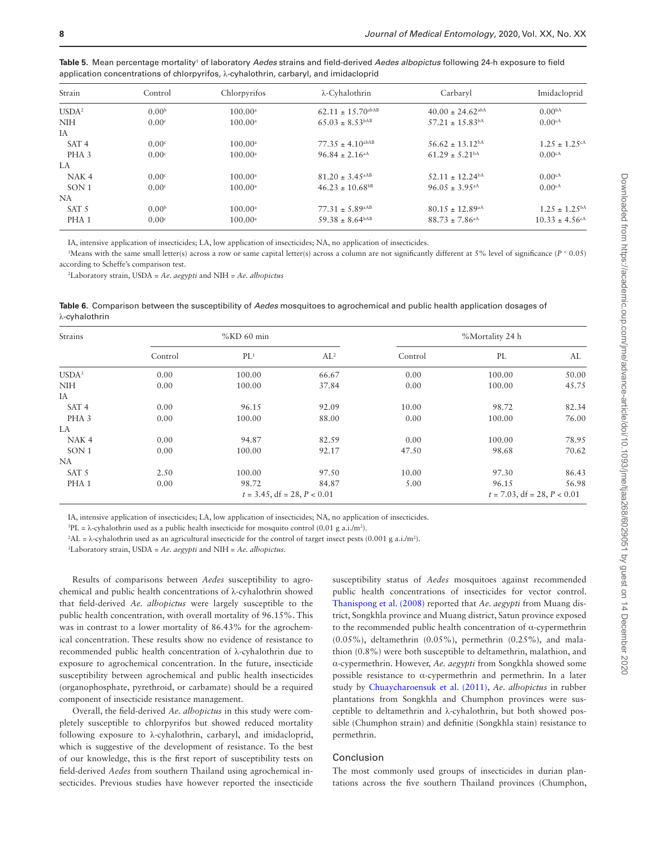| Strain            | Control           | Chlorpyrifos          | λ-Cyhalothrin                    | Carbaryl                         | Imidacloprid                   |
|-------------------|-------------------|-----------------------|----------------------------------|----------------------------------|--------------------------------|
| USDA <sup>2</sup> | 0.00 <sup>b</sup> | $100.00^a$            | $62.11 \pm 15.70$ abAB           | $40.00 \pm 24.62$ <sup>abA</sup> | 0.00 <sup>bA</sup>             |
| <b>NIH</b>        | 0.00 <sup>c</sup> | $100.00^{\circ}$      | $65.03 \pm 8.53$ <sup>bAB</sup>  | $57.21 \pm 15.83$ <sup>bA</sup>  | 0.00 <sup>cA</sup>             |
| IA                |                   |                       |                                  |                                  |                                |
| SAT <sub>4</sub>  | 0.00c             | $100.00$ <sup>a</sup> | $77.35 \pm 4.10$ <sup>abAB</sup> | $56.62 \pm 13.12^{bA}$           | $1.25 \pm 1.25$ <sup>cA</sup>  |
| PHA <sub>3</sub>  | 0.00 <sup>c</sup> | $100.00^{\circ}$      | $96.84 \pm 2.16$ <sup>aA</sup>   | $61.29 \pm 5.21$ <sup>bA</sup>   | $0.00c^{A}$                    |
| LA.               |                   |                       |                                  |                                  |                                |
| NAK <sub>4</sub>  | 0.00c             | $100.00$ <sup>a</sup> | $81.20 \pm 3.45$ <sup>aAB</sup>  | $52.11 \pm 12.24$ bA             | $0.00$ cA                      |
| SON <sub>1</sub>  | 0.00 <sup>c</sup> | $100.00^{\rm a}$      | $46.23 \pm 10.68$ <sup>bB</sup>  | $96.05 \pm 3.95$ <sup>aA</sup>   | 0.00 <sup>cA</sup>             |
| NA                |                   |                       |                                  |                                  |                                |
| SAT <sub>5</sub>  | 0.00 <sup>b</sup> | $100.00$ <sup>a</sup> | $77.31 \pm 5.89$ <sup>aAB</sup>  | $80.15 \pm 12.89$ <sup>aA</sup>  | $1.25 \pm 1.25^{bA}$           |
| PHA <sub>1</sub>  | 0.00 <sup>c</sup> | $100.00^{\circ}$      | $59.38 \pm 8.64^{bAB}$           | $88.73 \pm 7.86$ <sup>aA</sup>   | $10.33 \pm 4.56$ <sup>cA</sup> |

<span id="page-7-0"></span>**Table 5**. Mean percentage mortality' of laboratory *Aedes* strains and field-derived *Aedes albopictus* following 24-h exposure to field application concentrations of chlorpyrifos, λ-cyhalothrin, carbaryl, and imidacloprid

IA, intensive application of insecticides; LA, low application of insecticides; NA, no application of insecticides.

Means with the same small letter(s) across a row or same capital letter(s) across a column are not significantly different at 5% level of significance (*P* < 0.05) according to Scheffe's comparison test.

2 Laboratory strain, USDA = *Ae. aegypti* and NIH = *Ae. albopictus*

<span id="page-7-1"></span>**Table 6.** Comparison between the susceptibility of *Aedes* mosquitoes to agrochemical and public health application dosages of λ-cyhalothrin

| Strains           |         | %KD 60 min                     |        | %Mortality 24 h |                                |       |  |
|-------------------|---------|--------------------------------|--------|-----------------|--------------------------------|-------|--|
|                   | Control | PL <sup>1</sup>                | $AL^2$ | Control         | PL                             | AL    |  |
| USDA <sup>3</sup> | 0.00    | 100.00                         | 66.67  | 0.00            | 100.00                         | 50.00 |  |
| <b>NIH</b>        | 0.00    | 100.00                         | 37.84  | 0.00            | 100.00                         | 45.75 |  |
| IA                |         |                                |        |                 |                                |       |  |
| SAT <sub>4</sub>  | 0.00    | 96.15                          | 92.09  | 10.00           | 98.72                          | 82.34 |  |
| PHA <sub>3</sub>  | 0.00    | 100.00                         | 88.00  | 0.00            | 100.00                         | 76.00 |  |
| LA.               |         |                                |        |                 |                                |       |  |
| NAK <sub>4</sub>  | 0.00    | 94.87                          | 82.59  | 0.00            | 100.00                         | 78.95 |  |
| SON <sub>1</sub>  | 0.00    | 100.00                         | 92.17  | 47.50           | 98.68                          | 70.62 |  |
| NA.               |         |                                |        |                 |                                |       |  |
| SAT 5             | 2.50    | 100.00                         | 97.50  | 10.00           | 97.30                          | 86.43 |  |
| PHA <sub>1</sub>  | 0.00    | 98.72                          | 84.87  | 5.00            | 96.15                          | 56.98 |  |
|                   |         | $t = 3.45$ , df = 28, P < 0.01 |        |                 | $t = 7.03$ , df = 28, P < 0.01 |       |  |

IA, intensive application of insecticides; LA, low application of insecticides; NA, no application of insecticides.

<sup>1</sup>PL =  $\lambda$ -cyhalothrin used as a public health insecticide for mosquito control (0.01 g a.i./m<sup>2</sup>).

 ${}^2$ AL =  $\lambda$ -cyhalothrin used as an agricultural insecticide for the control of target insect pests (0.001 g a.i./m<sup>2</sup>).

3 Laboratory strain, USDA = *Ae. aegypti* and NIH = *Ae. albopictus*.

Results of comparisons between *Aedes* susceptibility to agrochemical and public health concentrations of λ-cyhalothrin showed that field-derived *Ae. albopictus* were largely susceptible to the public health concentration, with overall mortality of 96.15%. This was in contrast to a lower mortality of 86.43% for the agrochemical concentration. These results show no evidence of resistance to recommended public health concentration of λ-cyhalothrin due to exposure to agrochemical concentration. In the future, insecticide susceptibility between agrochemical and public health insecticides (organophosphate, pyrethroid, or carbamate) should be a required component of insecticide resistance management.

Overall, the field-derived *Ae. albopictus* in this study were completely susceptible to chlorpyrifos but showed reduced mortality following exposure to λ-cyhalothrin, carbaryl, and imidacloprid, which is suggestive of the development of resistance. To the best of our knowledge, this is the first report of susceptibility tests on field-derived *Aedes* from southern Thailand using agrochemical insecticides. Previous studies have however reported the insecticide

susceptibility status of *Aedes* mosquitoes against recommended public health concentrations of insecticides for vector control. [Thanispong et al. \(2008\)](#page-8-21) reported that *Ae. aegypti* from Muang district, Songkhla province and Muang district, Satun province exposed to the recommended public health concentration of α-cypermethrin (0.05%), deltamethrin (0.05%), permethrin (0.25%), and malathion (0.8%) were both susceptible to deltamethrin, malathion, and α-cypermethrin. However, *Ae. aegypti* from Songkhla showed some possible resistance to α-cypermethrin and permethrin. In a later study by [Chuaycharoensuk et al. \(2011\)](#page-8-13), *Ae. albopictus* in rubber plantations from Songkhla and Chumphon provinces were susceptible to deltamethrin and λ-cyhalothrin, but both showed possible (Chumphon strain) and definitie (Songkhla stain) resistance to permethrin.

#### Conclusion

The most commonly used groups of insecticides in durian plantations across the five southern Thailand provinces (Chumphon,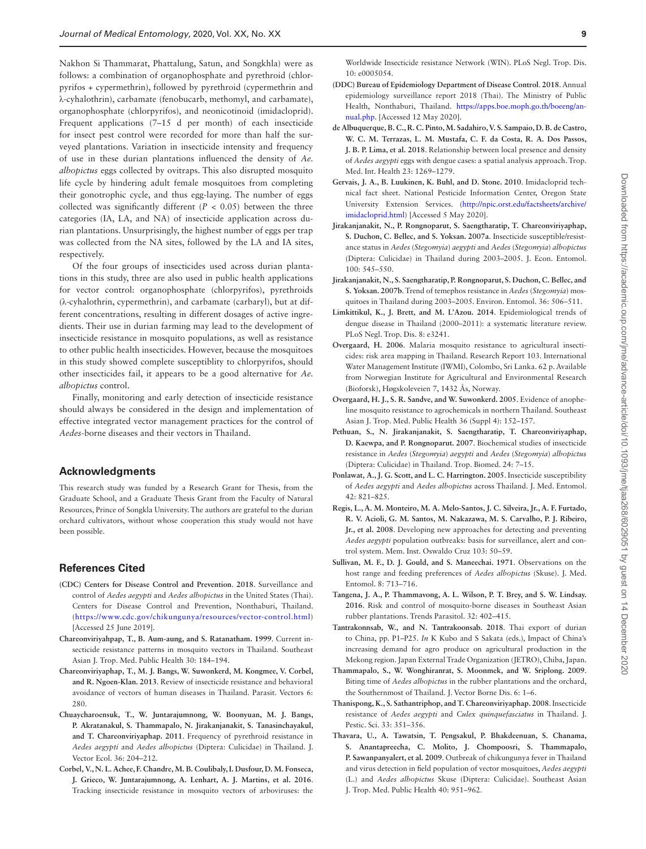Nakhon Si Thammarat, Phattalung, Satun, and Songkhla) were as follows: a combination of organophosphate and pyrethroid (chlorpyrifos + cypermethrin), followed by pyrethroid (cypermethrin and λ-cyhalothrin), carbamate (fenobucarb, methomyl, and carbamate), organophosphate (chlorpyrifos), and neonicotinoid (imidacloprid). Frequent applications (7–15 d per month) of each insecticide for insect pest control were recorded for more than half the surveyed plantations. Variation in insecticide intensity and frequency of use in these durian plantations influenced the density of *Ae. albopictus* eggs collected by ovitraps. This also disrupted mosquito life cycle by hindering adult female mosquitoes from completing their gonotrophic cycle, and thus egg-laying. The number of eggs collected was significantly different  $(P < 0.05)$  between the three categories (IA, LA, and NA) of insecticide application across durian plantations. Unsurprisingly, the highest number of eggs per trap was collected from the NA sites, followed by the LA and IA sites, respectively.

Of the four groups of insecticides used across durian plantations in this study, three are also used in public health applications for vector control: organophosphate (chlorpyrifos), pyrethroids (λ-cyhalothrin, cypermethrin), and carbamate (carbaryl), but at different concentrations, resulting in different dosages of active ingredients. Their use in durian farming may lead to the development of insecticide resistance in mosquito populations, as well as resistance to other public health insecticides. However, because the mosquitoes in this study showed complete susceptiblity to chlorpyrifos, should other insecticides fail, it appears to be a good alternative for *Ae. albopictus* control.

Finally, monitoring and early detection of insecticide resistance should always be considered in the design and implementation of effective integrated vector management practices for the control of *Aedes*-borne diseases and their vectors in Thailand.

#### **Acknowledgments**

This research study was funded by a Research Grant for Thesis, from the Graduate School, and a Graduate Thesis Grant from the Faculty of Natural Resources, Prince of Songkla University. The authors are grateful to the durian orchard cultivators, without whose cooperation this study would not have been possible.

## **References Cited**

- <span id="page-8-19"></span>**(CDC) Centers for Disease Control and Prevention**. **2018**. Surveillance and control of *Aedes aegypti* and *Aedes albopictus* in the United States (Thai). Centers for Disease Control and Prevention, Nonthaburi, Thailand. (<https://www.cdc.gov/chikungunya/resources/vector-control.html>) [Accessed 25 June 2019].
- <span id="page-8-9"></span>**Chareonviriyahpap, T., B. Aum-aung, and S. Ratanatham. 1999**. Current insecticide resistance patterns in mosquito vectors in Thailand. Southeast Asian J. Trop. Med. Public Health 30: 184–194.
- <span id="page-8-10"></span>**Chareonviriyaphap, T., M. J. Bangs, W. Suwonkerd, M. Kongmee, V. Corbel, and R. Ngoen-Klan. 2013**. Review of insecticide resistance and behavioral avoidance of vectors of human diseases in Thailand. Parasit. Vectors 6: 280.
- <span id="page-8-13"></span>**Chuaycharoensuk, T., W. Juntarajumnong, W. Boonyuan, M. J. Bangs, P. Akratanakul, S. Thammapalo, N. Jirakanjanakit, S. Tanasinchayakul, and T. Chareonviriyaphap. 2011**. Frequency of pyrethroid resistance in *Aedes aegypti* and *Aedes albopictus* (Diptera: Culicidae) in Thailand. J. Vector Ecol. 36: 204–212.
- <span id="page-8-11"></span>**Corbel, V., N. L. Achee, F. Chandre, M. B. Coulibaly, I. Dusfour, D. M. Fonseca, J. Grieco, W. Juntarajumnong, A. Lenhart, A. J. Martins, et al. 2016**. Tracking insecticide resistance in mosquito vectors of arboviruses: the

Worldwide Insecticide resistance Network (WIN). PLoS Negl. Trop. Dis. 10: e0005054.

- <span id="page-8-1"></span>**(DDC) Bureau of Epidemiology Department of Disease Control**. **2018**. Annual epidemiology surveillance report 2018 (Thai). The Ministry of Public Health, Nonthaburi, Thailand. [https://apps.boe.moph.go.th/boeeng/an](https://apps.boe.moph.go.th/boeeng/annual.php)[nual.php](https://apps.boe.moph.go.th/boeeng/annual.php). [Accessed 12 May 2020].
- <span id="page-8-17"></span>**de Albuquerque, B. C., R. C. Pinto, M. Sadahiro, V. S. Sampaio, D. B. de Castro, W. C. M. Terrazas, L. M. Mustafa, C. F. da Costa, R. A. Dos Passos, J. B. P. Lima, et al. 2018**. Relationship between local presence and density of *Aedes aegypti* eggs with dengue cases: a spatial analysis approach. Trop. Med. Int. Health 23: 1269–1279.
- <span id="page-8-20"></span>**Gervais, J. A., B. Luukinen, K. Buhl, and D. Stone. 2010**. Imidacloprid technical fact sheet. National Pesticide Information Center, Oregon State University Extension Services. [\(http://npic.orst.edu/factsheets/archive/](http://npic.orst.edu/factsheets/archive/imidacloprid.html) [imidacloprid.html](http://npic.orst.edu/factsheets/archive/imidacloprid.html)) [Accessed 5 May 2020].
- <span id="page-8-14"></span>**Jirakanjanakit, N., P. Rongnoparut, S. Saengtharatip, T. Chareonviriyaphap, S. Duchon, C. Bellec, and S. Yoksan. 2007a**. Insecticide susceptible/resistance status in *Aedes* (*Stegomyia*) *aegypti* and *Aedes* (*Stegomyia*) *albopictus* (Diptera: Culicidae) in Thailand during 2003–2005. J. Econ. Entomol. 100: 545–550.
- <span id="page-8-15"></span>**Jirakanjanakit, N., S. Saengtharatip, P. Rongnoparut, S. Duchon, C. Bellec, and S. Yoksan. 2007b**. Trend of temephos resistance in *Aedes* (*Stegomyia*) mosquitoes in Thailand during 2003–2005. Environ. Entomol. 36: 506–511.
- <span id="page-8-16"></span>**Limkittikul, K., J. Brett, and M. L'Azou. 2014**. Epidemiological trends of dengue disease in Thailand (2000–2011): a systematic literature review. PLoS Negl. Trop. Dis. 8: e3241.
- <span id="page-8-8"></span>**Overgaard, H. 2006**. Malaria mosquito resistance to agricultural insecticides: risk area mapping in Thailand. Research Report 103. International Water Management Institute (IWMI), Colombo, Sri Lanka. 62 p. Available from Norwegian Institute for Agricultural and Environmental Research (Bioforsk), Høgskoleveien 7, 1432 Ås, Norway.
- <span id="page-8-7"></span>**Overgaard, H. J., S. R. Sandve, and W. Suwonkerd. 2005**. Evidence of anopheline mosquito resistance to agrochemicals in northern Thailand. Southeast Asian J. Trop. Med. Public Health 36 (Suppl 4): 152–157.
- <span id="page-8-12"></span>**Pethuan, S., N. Jirakanjanakit, S. Saengtharatip, T. Chareonviriyaphap, D. Kaewpa, and P. Rongnoparut. 2007**. Biochemical studies of insecticide resistance in *Aedes* (*Stegomyia*) *aegypti* and *Aedes* (*Stegomyia*) *albopictus* (Diptera: Culicidae) in Thailand. Trop. Biomed. 24: 7–15.
- <span id="page-8-2"></span>**Ponlawat, A., J. G. Scott, and L. C. Harrington. 2005**. Insecticide susceptibility of *Aedes aegypti* and *Aedes albopictus* across Thailand. J. Med. Entomol. 42: 821–825.
- <span id="page-8-18"></span>**Regis, L., A. M. Monteiro, M. A. Melo-Santos, J. C. Silveira, Jr., A. F. Furtado, R. V. Acioli, G. M. Santos, M. Nakazawa, M. S. Carvalho, P. J. Ribeiro, Jr., et al. 2008**. Developing new approaches for detecting and preventing *Aedes aegypti* population outbreaks: basis for surveillance, alert and control system. Mem. Inst. Oswaldo Cruz 103: 50–59.
- <span id="page-8-3"></span>**Sullivan, M. F., D. J. Gould, and S. Maneechai. 1971**. Observations on the host range and feeding preferences of *Aedes albopictus* (Skuse). J. Med. Entomol. 8: 713–716.
- <span id="page-8-5"></span>**Tangena, J. A., P. Thammavong, A. L. Wilson, P. T. Brey, and S. W. Lindsay. 2016**. Risk and control of mosquito-borne diseases in Southeast Asian rubber plantations. Trends Parasitol. 32: 402–415.
- <span id="page-8-6"></span>**Tantrakonnsab, W., and N. Tantrakoonsab. 2018**. Thai export of durian to China, pp. P1–P25. *In* K Kubo and S Sakata (eds.), Impact of China's increasing demand for agro produce on agricultural production in the Mekong region. Japan External Trade Organization (JETRO), Chiba, Japan.
- <span id="page-8-4"></span>**Thammapalo, S., W. Wonghiranrat, S. Moonmek, and W. Sriplong. 2009**. Biting time of *Aedes albopictus* in the rubber plantations and the orchard, the Southernmost of Thailand. J. Vector Borne Dis. 6: 1–6.
- <span id="page-8-21"></span>**Thanispong, K., S. Sathantriphop, and T. Chareonviriyaphap. 2008**. Insecticide resistance of *Aedes aegypti* and *Culex quinquefasciatus* in Thailand. J. Pestic. Sci. 33: 351–356.
- <span id="page-8-0"></span>**Thavara, U., A. Tawatsin, T. Pengsakul, P. Bhakdeenuan, S. Chanama, S. Anantapreecha, C. Molito, J. Chompoosri, S. Thammapalo, P. Sawanpanyalert, et al. 2009**. Outbreak of chikungunya fever in Thailand and virus detection in field population of vector mosquitoes, *Aedes aegypti* (L.) and *Aedes albopictus* Skuse (Diptera: Culicidae). Southeast Asian J. Trop. Med. Public Health 40: 951–962.